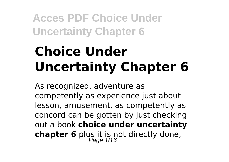# **Choice Under Uncertainty Chapter 6**

As recognized, adventure as competently as experience just about lesson, amusement, as competently as concord can be gotten by just checking out a book **choice under uncertainty chapter 6** plus it is not directly done,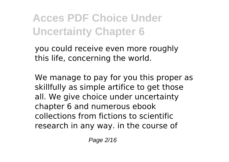you could receive even more roughly this life, concerning the world.

We manage to pay for you this proper as skillfully as simple artifice to get those all. We give choice under uncertainty chapter 6 and numerous ebook collections from fictions to scientific research in any way. in the course of

Page 2/16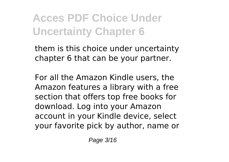them is this choice under uncertainty chapter 6 that can be your partner.

For all the Amazon Kindle users, the Amazon features a library with a free section that offers top free books for download. Log into your Amazon account in your Kindle device, select your favorite pick by author, name or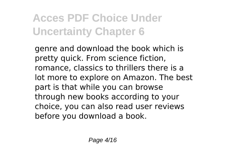genre and download the book which is pretty quick. From science fiction, romance, classics to thrillers there is a lot more to explore on Amazon. The best part is that while you can browse through new books according to your choice, you can also read user reviews before you download a book.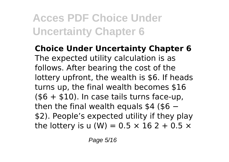**Choice Under Uncertainty Chapter 6** The expected utility calculation is as follows. After bearing the cost of the lottery upfront, the wealth is \$6. If heads turns up, the final wealth becomes \$16  $($ + $10)$ . In case tails turns face-up, then the final wealth equals  $$4$  ( $$6$  – \$2). People's expected utility if they play the lottery is u (W) =  $0.5 \times 16$  2 + 0.5  $\times$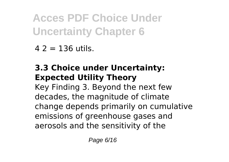$42 = 136$  utils.

### **3.3 Choice under Uncertainty: Expected Utility Theory**

Key Finding 3. Beyond the next few decades, the magnitude of climate change depends primarily on cumulative emissions of greenhouse gases and aerosols and the sensitivity of the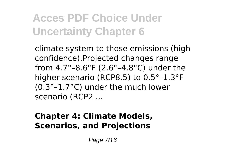climate system to those emissions (high confidence).Projected changes range from 4.7°–8.6°F (2.6°–4.8°C) under the higher scenario (RCP8.5) to 0.5°–1.3°F (0.3°–1.7°C) under the much lower scenario (RCP2 ...

#### **Chapter 4: Climate Models, Scenarios, and Projections**

Page 7/16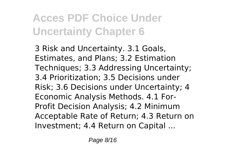3 Risk and Uncertainty. 3.1 Goals, Estimates, and Plans; 3.2 Estimation Techniques; 3.3 Addressing Uncertainty; 3.4 Prioritization; 3.5 Decisions under Risk; 3.6 Decisions under Uncertainty; 4 Economic Analysis Methods. 4.1 For-Profit Decision Analysis; 4.2 Minimum Acceptable Rate of Return; 4.3 Return on Investment; 4.4 Return on Capital ...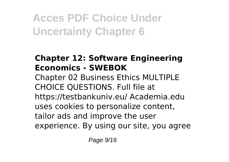#### **Chapter 12: Software Engineering Economics - SWEBOK**

Chapter 02 Business Ethics MULTIPLE CHOICE QUESTIONS. Full file at https://testbankuniv.eu/ Academia.edu uses cookies to personalize content, tailor ads and improve the user experience. By using our site, you agree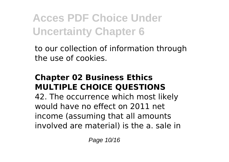to our collection of information through the use of cookies.

#### **Chapter 02 Business Ethics MULTIPLE CHOICE QUESTIONS**

42. The occurrence which most likely would have no effect on 2011 net income (assuming that all amounts involved are material) is the a. sale in

Page 10/16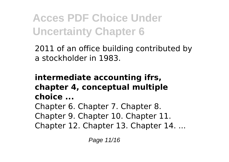2011 of an office building contributed by a stockholder in 1983.

#### **intermediate accounting ifrs, chapter 4, conceptual multiple choice ...**

Chapter 6. Chapter 7. Chapter 8. Chapter 9. Chapter 10. Chapter 11. Chapter 12. Chapter 13. Chapter 14. ...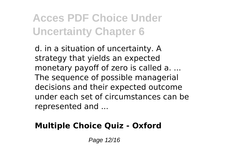d. in a situation of uncertainty. A strategy that yields an expected monetary payoff of zero is called a. ... The sequence of possible managerial decisions and their expected outcome under each set of circumstances can be represented and ...

### **Multiple Choice Quiz - Oxford**

Page 12/16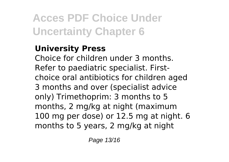#### **University Press**

Choice for children under 3 months. Refer to paediatric specialist. Firstchoice oral antibiotics for children aged 3 months and over (specialist advice only) Trimethoprim: 3 months to 5 months, 2 mg/kg at night (maximum 100 mg per dose) or 12.5 mg at night. 6 months to 5 years, 2 mg/kg at night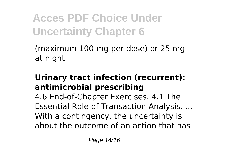(maximum 100 mg per dose) or 25 mg at night

#### **Urinary tract infection (recurrent): antimicrobial prescribing**

4.6 End-of-Chapter Exercises. 4.1 The Essential Role of Transaction Analysis. ... With a contingency, the uncertainty is about the outcome of an action that has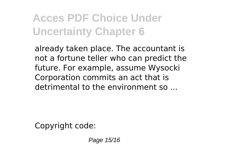already taken place. The accountant is not a fortune teller who can predict the future. For example, assume Wysocki Corporation commits an act that is detrimental to the environment so ...

Copyright code:

Page 15/16